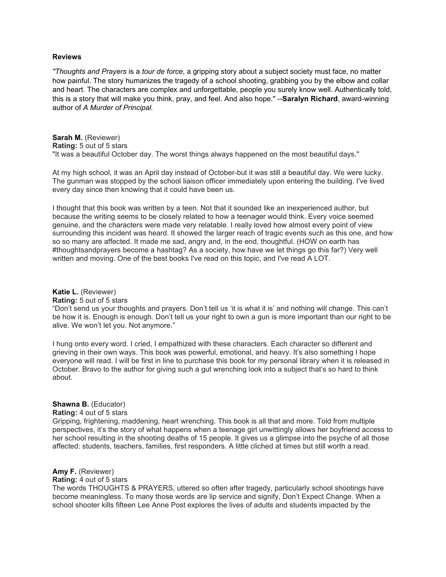#### **Reviews**

*"Thoughts and Prayers* is a *tour de force*, a gripping story about a subject society must face, no matter how painful. The story humanizes the tragedy of a school shooting, grabbing you by the elbow and collar and heart. The characters are complex and unforgettable, people you surely know well. Authentically told, this is a story that will make you think, pray, and feel. And also hope." --**Saralyn Richard**, award-winning author of *A Murder of Principal.*

**Sarah M.** (Reviewer) **Rating:** 5 out of 5 stars "It was a beautiful October day. The worst things always happened on the most beautiful days."

At my high school, it was an April day instead of October-but it was still a beautiful day. We were lucky. The gunman was stopped by the school liaison officer immediately upon entering the building. I've lived every day since then knowing that it could have been us.

I thought that this book was written by a teen. Not that it sounded like an inexperienced author, but because the writing seems to be closely related to how a teenager would think. Every voice seemed genuine, and the characters were made very relatable. I really loved how almost every point of view surrounding this incident was heard. It showed the larger reach of tragic events such as this one, and how so so many are affected. It made me sad, angry and, in the end, thoughtful. (HOW on earth has #thoughtsandprayers become a hashtag? As a society, how have we let things go this far?) Very well written and moving. One of the best books I've read on this topic, and I've read A LOT.

## **[Katie L.](https://u69636.ct.sendgrid.net/ls/click?upn=BWQqVB9RScA6jdbVUF-2FmfwfKx2QyRwNkUmzUhRVKuZ7wSCaq6BCQQo9-2BwOHDg8x0k5ZA4GBiOHPM24PbeSRtdA-3D-3DFk9R_vJFLxhBdjC9gMd7xqhMaRA4U0tgqevnGMolyZyn1ELCxvR5cFpaSmVvIwQegnXGeS6lN67Ivi0mmThZ6pubJ-2BU73a2TcSIbLIobFfBarT860PcAW3Z8vZYF709EMXwhAHDyV30wYpvSyKamNmID-2BtNu5rkPONUInigy-2BFyLXdQkMQuPQQ1il1E7RXwwmUPlkuK02bgjVO0eOCpQbqcmQL63XsDdjBoH0DXoVlPvtl8U-3D)** (Reviewer)

**Rating:** 5 out of 5 stars

"Don't send us your thoughts and prayers. Don't tell us 'it is what it is' and nothing will change. This can't be how it is. Enough is enough. Don't tell us your right to own a gun is more important than our right to be alive. We won't let you. Not anymore."

I hung onto every word. I cried, I empathized with these characters. Each character so different and grieving in their own ways. This book was powerful, emotional, and heavy. It's also something I hope everyone will read. I will be first in line to purchase this book for my personal library when it is released in October. Bravo to the author for giving such a gut wrenching look into a subject that's so hard to think about.

# **Shawna B.** (Educator)

**Rating:** 4 out of 5 stars

Gripping, frightening, maddening, heart wrenching. This book is all that and more. Told from multiple perspectives, it's the story of what happens when a teenage girl unwittingly allows her boyfriend access to her school resulting in the shooting deaths of 15 people. It gives us a glimpse into the psyche of all those affected: students, teachers, families, first responders. A little cliched at times but still worth a read.

## **Amy F.** (Reviewer)

**Rating:** 4 out of 5 stars

The words THOUGHTS & PRAYERS, uttered so often after tragedy, particularly school shootings have become meaningless. To many those words are lip service and signify, Don't Expect Change. When a school shooter kills fifteen Lee Anne Post explores the lives of adults and students impacted by the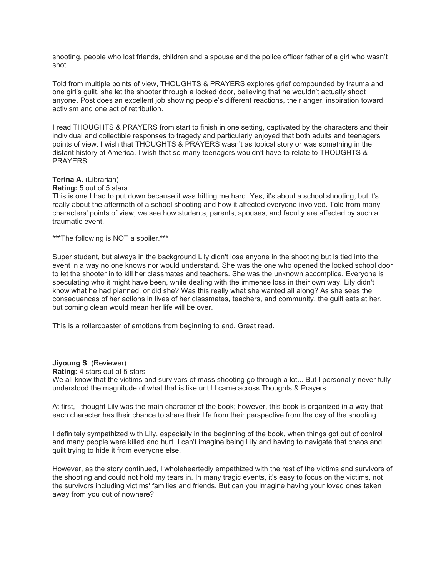shooting, people who lost friends, children and a spouse and the police officer father of a girl who wasn't shot.

Told from multiple points of view, THOUGHTS & PRAYERS explores grief compounded by trauma and one girl's guilt, she let the shooter through a locked door, believing that he wouldn't actually shoot anyone. Post does an excellent job showing people's different reactions, their anger, inspiration toward activism and one act of retribution.

I read THOUGHTS & PRAYERS from start to finish in one setting, captivated by the characters and their individual and collectible responses to tragedy and particularly enjoyed that both adults and teenagers points of view. I wish that THOUGHTS & PRAYERS wasn't as topical story or was something in the distant history of America. I wish that so many teenagers wouldn't have to relate to THOUGHTS & PRAYERS.

# **Terina A.** (Librarian)

# **Rating:** 5 out of 5 stars

This is one I had to put down because it was hitting me hard. Yes, it's about a school shooting, but it's really about the aftermath of a school shooting and how it affected everyone involved. Told from many characters' points of view, we see how students, parents, spouses, and faculty are affected by such a traumatic event.

\*\*\*The following is NOT a spoiler.\*\*\*

Super student, but always in the background Lily didn't lose anyone in the shooting but is tied into the event in a way no one knows nor would understand. She was the one who opened the locked school door to let the shooter in to kill her classmates and teachers. She was the unknown accomplice. Everyone is speculating who it might have been, while dealing with the immense loss in their own way. Lily didn't know what he had planned, or did she? Was this really what she wanted all along? As she sees the consequences of her actions in lives of her classmates, teachers, and community, the guilt eats at her, but coming clean would mean her life will be over.

This is a rollercoaster of emotions from beginning to end. Great read.

**Jiyoung S**, (Reviewer)

**Rating:** 4 stars out of 5 stars

We all know that the victims and survivors of mass shooting go through a lot... But I personally never fully understood the magnitude of what that is like until I came across Thoughts & Prayers.

At first, I thought Lily was the main character of the book; however, this book is organized in a way that each character has their chance to share their life from their perspective from the day of the shooting.

I definitely sympathized with Lily, especially in the beginning of the book, when things got out of control and many people were killed and hurt. I can't imagine being Lily and having to navigate that chaos and guilt trying to hide it from everyone else.

However, as the story continued, I wholeheartedly empathized with the rest of the victims and survivors of the shooting and could not hold my tears in. In many tragic events, it's easy to focus on the victims, not the survivors including victims' families and friends. But can you imagine having your loved ones taken away from you out of nowhere?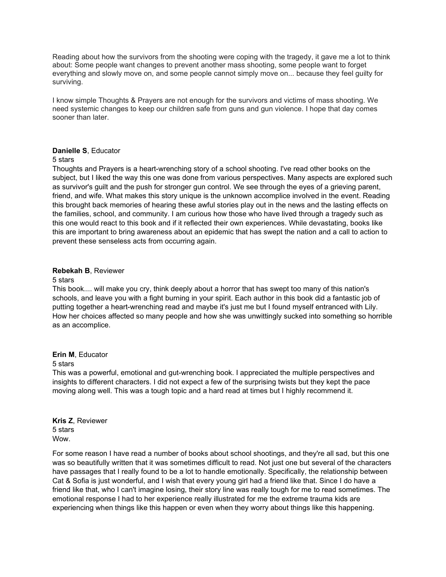Reading about how the survivors from the shooting were coping with the tragedy, it gave me a lot to think about: Some people want changes to prevent another mass shooting, some people want to forget everything and slowly move on, and some people cannot simply move on... because they feel guilty for surviving.

I know simple Thoughts & Prayers are not enough for the survivors and victims of mass shooting. We need systemic changes to keep our children safe from guns and gun violence. I hope that day comes sooner than later.

## **Danielle S**, Educator

#### 5 stars

Thoughts and Prayers is a heart-wrenching story of a school shooting. I've read other books on the subject, but I liked the way this one was done from various perspectives. Many aspects are explored such as survivor's guilt and the push for stronger gun control. We see through the eyes of a grieving parent, friend, and wife. What makes this story unique is the unknown accomplice involved in the event. Reading this brought back memories of hearing these awful stories play out in the news and the lasting effects on the families, school, and community. I am curious how those who have lived through a tragedy such as this one would react to this book and if it reflected their own experiences. While devastating, books like this are important to bring awareness about an epidemic that has swept the nation and a call to action to prevent these senseless acts from occurring again.

## **Rebekah B**, Reviewer

#### 5 stars

This book.... will make you cry, think deeply about a horror that has swept too many of this nation's schools, and leave you with a fight burning in your spirit. Each author in this book did a fantastic job of putting together a heart-wrenching read and maybe it's just me but I found myself entranced with Lily. How her choices affected so many people and how she was unwittingly sucked into something so horrible as an accomplice.

#### **Erin M**, Educator

#### 5 stars

This was a powerful, emotional and gut-wrenching book. I appreciated the multiple perspectives and insights to different characters. I did not expect a few of the surprising twists but they kept the pace moving along well. This was a tough topic and a hard read at times but I highly recommend it.

**Kris Z**, Reviewer 5 stars Wow.

For some reason I have read a number of books about school shootings, and they're all sad, but this one was so beautifully written that it was sometimes difficult to read. Not just one but several of the characters have passages that I really found to be a lot to handle emotionally. Specifically, the relationship between Cat & Sofia is just wonderful, and I wish that every young girl had a friend like that. Since I do have a friend like that, who I can't imagine losing, their story line was really tough for me to read sometimes. The emotional response I had to her experience really illustrated for me the extreme trauma kids are experiencing when things like this happen or even when they worry about things like this happening.